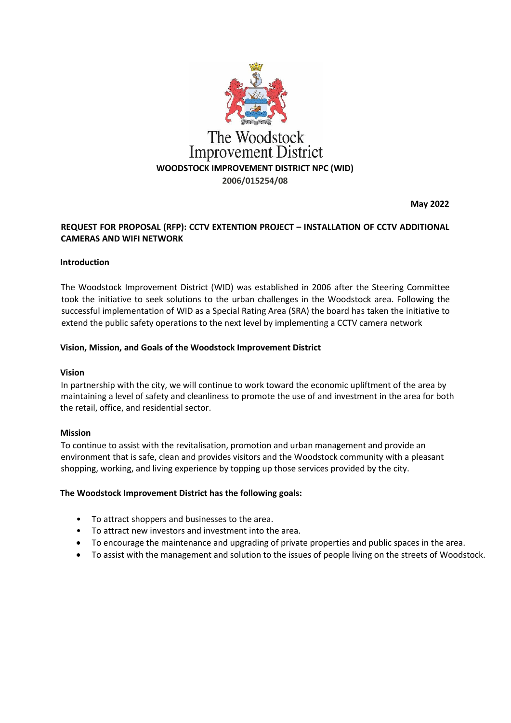

**May 2022**

# **REQUEST FOR PROPOSAL (RFP): CCTV EXTENTION PROJECT – INSTALLATION OF CCTV ADDITIONAL CAMERAS AND WIFI NETWORK**

#### **Introduction**

The Woodstock Improvement District (WID) was established in 2006 after the Steering Committee took the initiative to seek solutions to the urban challenges in the Woodstock area. Following the successful implementation of WID as a Special Rating Area (SRA) the board has taken the initiative to extend the public safety operations to the next level by implementing a CCTV camera network

#### **Vision, Mission, and Goals of the Woodstock Improvement District**

#### **Vision**

In partnership with the city, we will continue to work toward the economic upliftment of the area by maintaining a level of safety and cleanliness to promote the use of and investment in the area for both the retail, office, and residential sector.

#### **Mission**

To continue to assist with the revitalisation, promotion and urban management and provide an environment that is safe, clean and provides visitors and the Woodstock community with a pleasant shopping, working, and living experience by topping up those services provided by the city.

#### **The Woodstock Improvement District has the following goals:**

- To attract shoppers and businesses to the area.
- To attract new investors and investment into the area.
- To encourage the maintenance and upgrading of private properties and public spaces in the area.
- To assist with the management and solution to the issues of people living on the streets of Woodstock.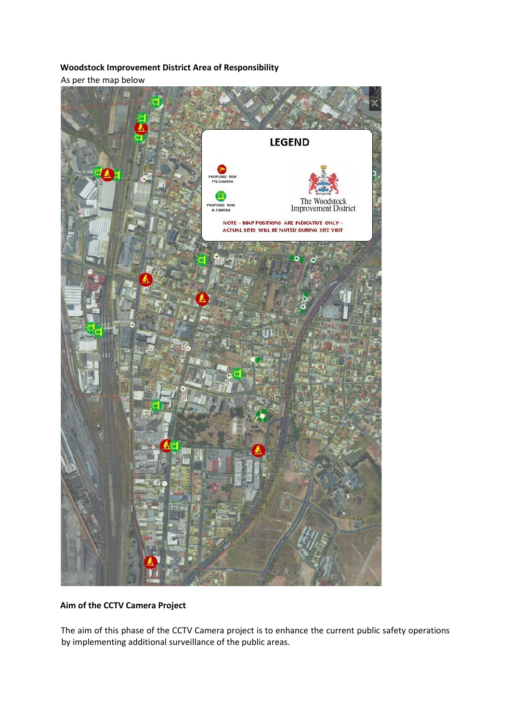# **Woodstock Improvement District Area of Responsibility**

As per the map below



**Aim of the CCTV Camera Project** 

The aim of this phase of the CCTV Camera project is to enhance the current public safety operations by implementing additional surveillance of the public areas.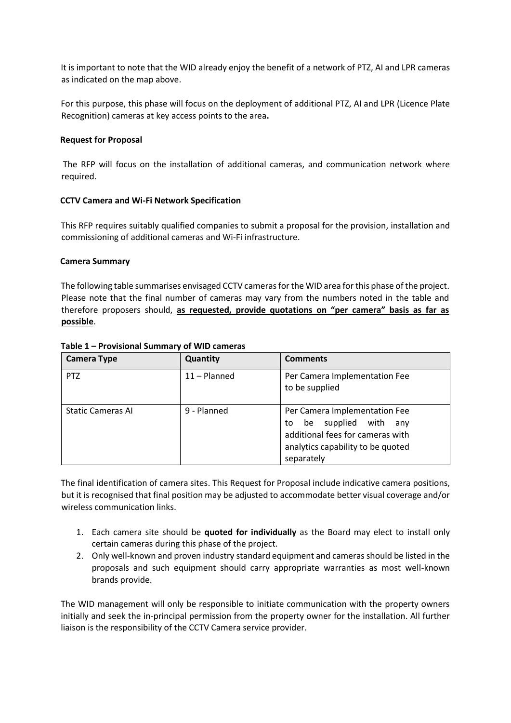It is important to note that the WID already enjoy the benefit of a network of PTZ, AI and LPR cameras as indicated on the map above.

For this purpose, this phase will focus on the deployment of additional PTZ, AI and LPR (Licence Plate Recognition) cameras at key access points to the area**.** 

### **Request for Proposal**

The RFP will focus on the installation of additional cameras, and communication network where required.

## **CCTV Camera and Wi-Fi Network Specification**

This RFP requires suitably qualified companies to submit a proposal for the provision, installation and commissioning of additional cameras and Wi-Fi infrastructure.

## **Camera Summary**

The following table summarises envisaged CCTV cameras for the WID area for this phase of the project. Please note that the final number of cameras may vary from the numbers noted in the table and therefore proposers should, **as requested, provide quotations on "per camera" basis as far as possible**.

| <b>Camera Type</b>       | Quantity       | <b>Comments</b>                                                                                                                                       |
|--------------------------|----------------|-------------------------------------------------------------------------------------------------------------------------------------------------------|
| PT <sub>Z</sub>          | $11 -$ Planned | Per Camera Implementation Fee<br>to be supplied                                                                                                       |
| <b>Static Cameras AI</b> | 9 - Planned    | Per Camera Implementation Fee<br>be supplied with<br>to<br>anv<br>additional fees for cameras with<br>analytics capability to be quoted<br>separately |

### **Table 1 – Provisional Summary of WID cameras**

The final identification of camera sites. This Request for Proposal include indicative camera positions, but it is recognised that final position may be adjusted to accommodate better visual coverage and/or wireless communication links.

- 1. Each camera site should be **quoted for individually** as the Board may elect to install only certain cameras during this phase of the project.
- 2. Only well-known and proven industry standard equipment and cameras should be listed in the proposals and such equipment should carry appropriate warranties as most well-known brands provide.

The WID management will only be responsible to initiate communication with the property owners initially and seek the in-principal permission from the property owner for the installation. All further liaison is the responsibility of the CCTV Camera service provider.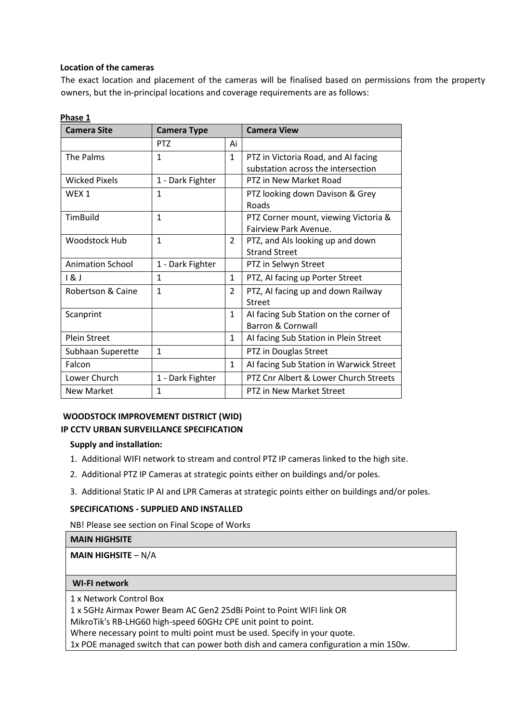## **Location of the cameras**

The exact location and placement of the cameras will be finalised based on permissions from the property owners, but the in-principal locations and coverage requirements are as follows:

| <b>Camera Site</b>      | <b>Camera Type</b> |                | <b>Camera View</b>                      |
|-------------------------|--------------------|----------------|-----------------------------------------|
|                         | <b>PTZ</b>         | Ai             |                                         |
| The Palms               | $\mathbf{1}$       | $\mathbf{1}$   | PTZ in Victoria Road, and AI facing     |
|                         |                    |                | substation across the intersection      |
| <b>Wicked Pixels</b>    | 1 - Dark Fighter   |                | PTZ in New Market Road                  |
| WEX 1                   | $\mathbf{1}$       |                | PTZ looking down Davison & Grey         |
|                         |                    |                | Roads                                   |
| TimBuild                | $\mathbf{1}$       |                | PTZ Corner mount, viewing Victoria &    |
|                         |                    |                | Fairview Park Avenue.                   |
| <b>Woodstock Hub</b>    | $\mathbf{1}$       | $\overline{2}$ | PTZ, and AIs looking up and down        |
|                         |                    |                | <b>Strand Street</b>                    |
| <b>Animation School</b> | 1 - Dark Fighter   |                | PTZ in Selwyn Street                    |
| 8                       | $\mathbf{1}$       | $\mathbf{1}$   | PTZ, AI facing up Porter Street         |
| Robertson & Caine       | $\mathbf{1}$       | $\mathcal{P}$  | PTZ, AI facing up and down Railway      |
|                         |                    |                | <b>Street</b>                           |
| Scanprint               |                    | $\mathbf{1}$   | AI facing Sub Station on the corner of  |
|                         |                    |                | <b>Barron &amp; Cornwall</b>            |
| <b>Plein Street</b>     |                    | $\mathbf{1}$   | Al facing Sub Station in Plein Street   |
| Subhaan Superette       | $\mathbf{1}$       |                | PTZ in Douglas Street                   |
| Falcon                  |                    | $\mathbf{1}$   | Al facing Sub Station in Warwick Street |
| Lower Church            | 1 - Dark Fighter   |                | PTZ Cnr Albert & Lower Church Streets   |
| <b>New Market</b>       | 1                  |                | PTZ in New Market Street                |

# **Phase 1**

# **WOODSTOCK IMPROVEMENT DISTRICT (WID) IP CCTV URBAN SURVEILLANCE SPECIFICATION**

### **Supply and installation:**

- 1. Additional WIFI network to stream and control PTZ IP cameras linked to the high site.
- 2. Additional PTZ IP Cameras at strategic points either on buildings and/or poles.
- 3. Additional Static IP AI and LPR Cameras at strategic points either on buildings and/or poles.

### **SPECIFICATIONS - SUPPLIED AND INSTALLED**

NB! Please see section on Final Scope of Works

### **MAIN HIGHSITE**

# **MAIN HIGHSITE** – N/A

### **WI-FI network**

1 x Network Control Box

1 x 5GHz Airmax Power Beam AC Gen2 25dBi Point to Point WIFI link OR

MikroTik's RB-LHG60 high-speed 60GHz CPE unit point to point.

Where necessary point to multi point must be used. Specify in your quote.

1x POE managed switch that can power both dish and camera configuration a min 150w.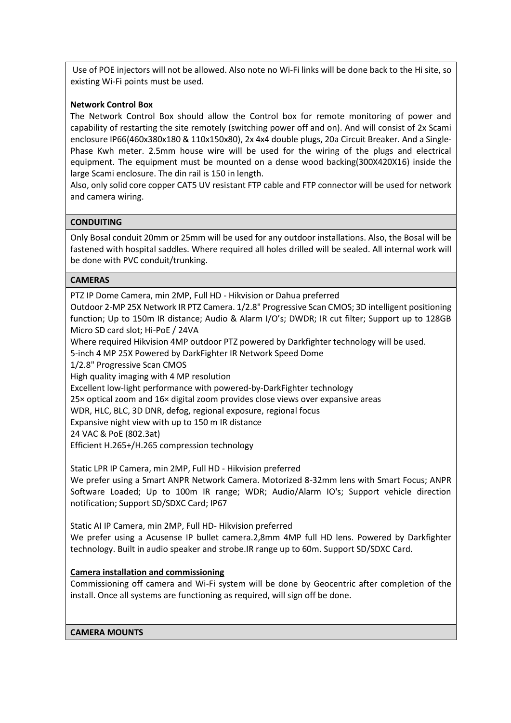Use of POE injectors will not be allowed. Also note no Wi-Fi links will be done back to the Hi site, so existing Wi-Fi points must be used.

## **Network Control Box**

The Network Control Box should allow the Control box for remote monitoring of power and capability of restarting the site remotely (switching power off and on). And will consist of 2x Scami enclosure IP66(460x380x180 & 110x150x80), 2x 4x4 double plugs, 20a Circuit Breaker. And a Single-Phase Kwh meter. 2.5mm house wire will be used for the wiring of the plugs and electrical equipment. The equipment must be mounted on a dense wood backing(300X420X16) inside the large Scami enclosure. The din rail is 150 in length.

Also, only solid core copper CAT5 UV resistant FTP cable and FTP connector will be used for network and camera wiring.

### **CONDUITING**

Only Bosal conduit 20mm or 25mm will be used for any outdoor installations. Also, the Bosal will be fastened with hospital saddles. Where required all holes drilled will be sealed. All internal work will be done with PVC conduit/trunking.

### **CAMERAS**

PTZ IP Dome Camera, min 2MP, Full HD - Hikvision or Dahua preferred

Outdoor 2-MP 25X Network IR PTZ Camera. 1/2.8" Progressive Scan CMOS; 3D intelligent positioning function; Up to 150m IR distance; Audio & Alarm I/O's; DWDR; IR cut filter; Support up to 128GB Micro SD card slot; Hi-PoE / 24VA

Where required Hikvision 4MP outdoor PTZ powered by Darkfighter technology will be used.

5-inch 4 MP 25X Powered by DarkFighter IR Network Speed Dome

1/2.8" Progressive Scan CMOS

High quality imaging with 4 MP resolution

Excellent low-light performance with powered-by-DarkFighter technology

25× optical zoom and 16× digital zoom provides close views over expansive areas

WDR, HLC, BLC, 3D DNR, defog, regional exposure, regional focus

Expansive night view with up to 150 m IR distance

24 VAC & PoE (802.3at)

Efficient H.265+/H.265 compression technology

Static LPR IP Camera, min 2MP, Full HD - Hikvision preferred

We prefer using a Smart ANPR Network Camera. Motorized 8-32mm lens with Smart Focus; ANPR Software Loaded; Up to 100m IR range; WDR; Audio/Alarm IO's; Support vehicle direction notification; Support SD/SDXC Card; IP67

Static AI IP Camera, min 2MP, Full HD- Hikvision preferred

We prefer using a Acusense IP bullet camera.2,8mm 4MP full HD lens. Powered by Darkfighter technology. Built in audio speaker and strobe.IR range up to 60m. Support SD/SDXC Card.

# **Camera installation and commissioning**

Commissioning off camera and Wi-Fi system will be done by Geocentric after completion of the install. Once all systems are functioning as required, will sign off be done.

**CAMERA MOUNTS**